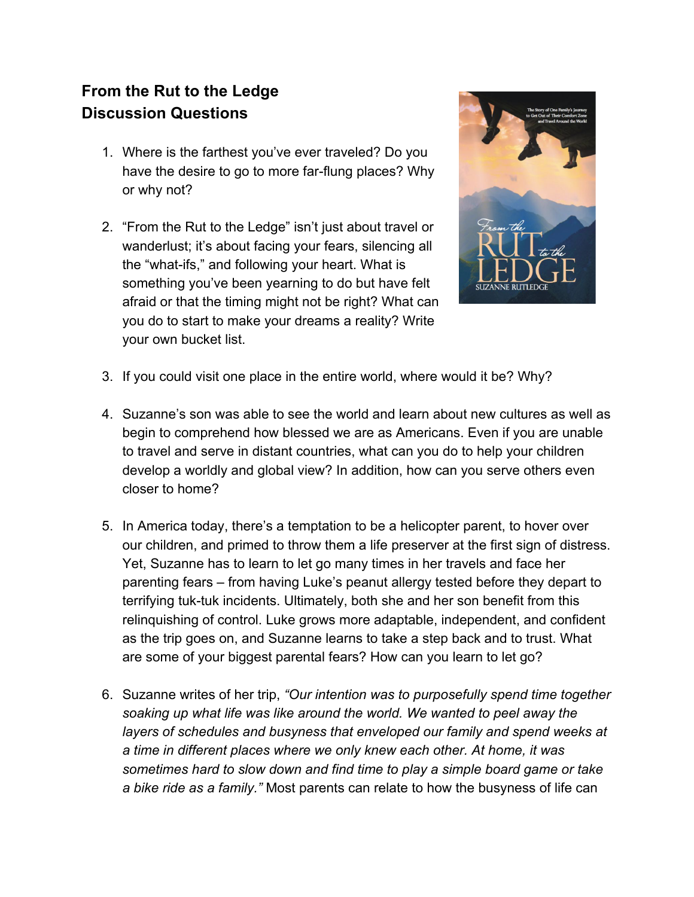## **From the Rut to the Ledge Discussion Questions**

- 1. Where is the farthest you've ever traveled? Do you have the desire to go to more far-flung places? Why or why not?
- 2. "From the Rut to the Ledge" isn't just about travel or wanderlust; it's about facing your fears, silencing all the "what-ifs," and following your heart. What is something you've been yearning to do but have felt afraid or that the timing might not be right? What can you do to start to make your dreams a reality? Write your own bucket list.



- 3. If you could visit one place in the entire world, where would it be? Why?
- 4. Suzanne's son was able to see the world and learn about new cultures as well as begin to comprehend how blessed we are as Americans. Even if you are unable to travel and serve in distant countries, what can you do to help your children develop a worldly and global view? In addition, how can you serve others even closer to home?
- 5. In America today, there's a temptation to be a helicopter parent, to hover over our children, and primed to throw them a life preserver at the first sign of distress. Yet, Suzanne has to learn to let go many times in her travels and face her parenting fears – from having Luke's peanut allergy tested before they depart to terrifying tuk-tuk incidents. Ultimately, both she and her son benefit from this relinquishing of control. Luke grows more adaptable, independent, and confident as the trip goes on, and Suzanne learns to take a step back and to trust. What are some of your biggest parental fears? How can you learn to let go?
- 6. Suzanne writes of her trip, *"Our intention was to purposefully spend time together soaking up what life was like around the world. We wanted to peel away the layers of schedules and busyness that enveloped our family and spend weeks at a time in different places where we only knew each other. At home, it was sometimes hard to slow down and find time to play a simple board game or take a bike ride as a family."* Most parents can relate to how the busyness of life can